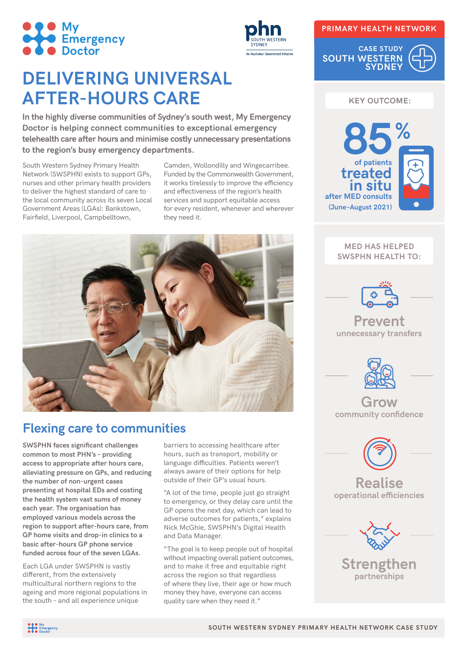



# **DELIVERING UNIVERSAL AFTER-HOURS CARE**

**In the highly diverse communities of Sydney's south west, My Emergency Doctor is helping connect communities to exceptional emergency telehealth care after hours and minimise costly unnecessary presentations to the region's busy emergency departments.**

South Western Sydney Primary Health Network (SWSPHN) exists to support GPs, nurses and other primary health providers to deliver the highest standard of care to the local community across its seven Local Government Areas (LGAs): Bankstown, Fairfield, Liverpool, Campbelltown,

Camden, Wollondilly and Wingecarribee. Funded by the Commonwealth Government, it works tirelessly to improve the efficiency and effectiveness of the region's health services and support equitable access for every resident, whenever and wherever they need it.



# **Flexing care to communities**

**SWSPHN faces significant challenges common to most PHN's – providing access to appropriate after hours care, alleviating pressure on GPs, and reducing the number of non-urgent cases presenting at hospital EDs and costing the health system vast sums of money each year. The organisation has employed various models across the region to support after-hours care, from GP home visits and drop-in clinics to a basic after-hours GP phone service funded across four of the seven LGAs.**

Each LGA under SWSPHN is vastly different, from the extensively multicultural northern regions to the ageing and more regional populations in the south – and all experience unique

barriers to accessing healthcare after hours, such as transport, mobility or language difficulties. Patients weren't always aware of their options for help outside of their GP's usual hours.

"A lot of the time, people just go straight to emergency, or they delay care until the GP opens the next day, which can lead to adverse outcomes for patients," explains Nick McGhie, SWSPHN's Digital Health and Data Manager.

"The goal is to keep people out of hospital without impacting overall patient outcomes, and to make it free and equitable right across the region so that regardless of where they live, their age or how much money they have, everyone can access quality care when they need it."

#### **PRIMARY HEALTH NETWORK**

**CASE STUDY SOUTH WESTERN SYDNEY**



**MED HAS HELPED SWSPHN HEALTH TO:**

**in situ after MED consults (June–August 2021)**

| $\mathcal{F}_{\mathbf{e}_{\infty}}$ |  |
|-------------------------------------|--|
| ⇔                                   |  |





**Grow community confidence**



**Realise operational efficiencies**